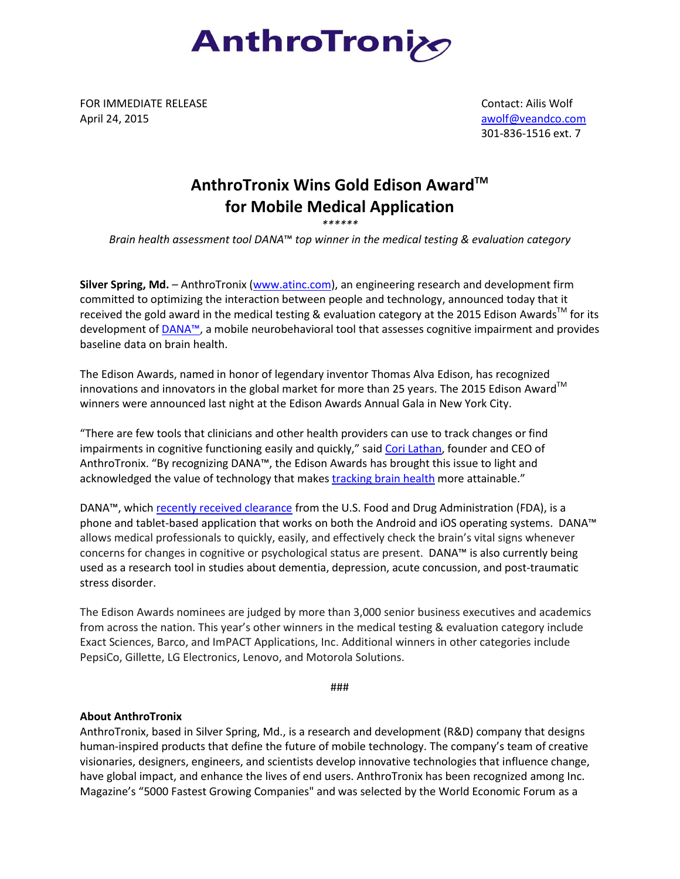

FOR IMMEDIATE RELEASE April 24, 2015

 Contact: Ailis Wolf [awolf@veandco.com](mailto:awolf@veandco.com) 301-836-1516 ext. 7

## **AnthroTronix Wins Gold Edison AwardTM for Mobile Medical Application**

*\*\*\*\*\*\**

*Brain health assessment tool DANA*™ *top winner in the medical testing & evaluation category*

**Silver Spring, Md.** – AnthroTronix [\(www.atinc.com\)](http://www.atinc.com/), an engineering research and development firm committed to optimizing the interaction between people and technology, announced today that it received the gold award in the medical testing & evaluation category at the 2015 Edison Awards<sup>TM</sup> for its development of [DANA™](http://danabrainvital.com/), a mobile neurobehavioral tool that assesses cognitive impairment and provides baseline data on brain health.

The Edison Awards, named in honor of legendary inventor Thomas Alva Edison, has recognized innovations and innovators in the global market for more than 25 years. The 2015 Edison Award<sup>TM</sup> winners were announced last night at the Edison Awards Annual Gala in New York City.

"There are few tools that clinicians and other health providers can use to track changes or find impairments in cognitive functioning easily and quickly," said [Cori Lathan,](http://www.anthrotronix.com/about-us/) founder and CEO of AnthroTronix. "By recognizing DANA™, the Edison Awards has brought this issue to light and acknowledged the value of technology that makes [tracking brain health](https://www.youtube.com/watch?v=jhmQ9db-vGM) more attainable."

DANA™, whic[h recently received clearance](http://www.anthrotronix.com/2014/10/16/anthrotronix-receives-fda-clearance-for-brain-health-assessment-tool/) from the U.S. Food and Drug Administration (FDA), is a phone and tablet-based application that works on both the Android and iOS operating systems. DANA™ allows medical professionals to quickly, easily, and effectively check the brain's vital signs whenever concerns for changes in cognitive or psychological status are present. DANA™ is also currently being used as a research tool in studies about dementia, depression, acute concussion, and post-traumatic stress disorder.

The Edison Awards nominees are judged by more than 3,000 senior business executives and academics from across the nation. This year's other winners in the medical testing & evaluation category include Exact Sciences, Barco, and ImPACT Applications, Inc. Additional winners in other categories include PepsiCo, Gillette, LG Electronics, Lenovo, and Motorola Solutions.

###

## **About AnthroTronix**

AnthroTronix, based in Silver Spring, Md., is a research and development (R&D) company that designs human-inspired products that define the future of mobile technology. The company's team of creative visionaries, designers, engineers, and scientists develop innovative technologies that influence change, have global impact, and enhance the lives of end users. AnthroTronix has been recognized among Inc. Magazine's "5000 Fastest Growing Companies" and was selected by the World Economic Forum as a